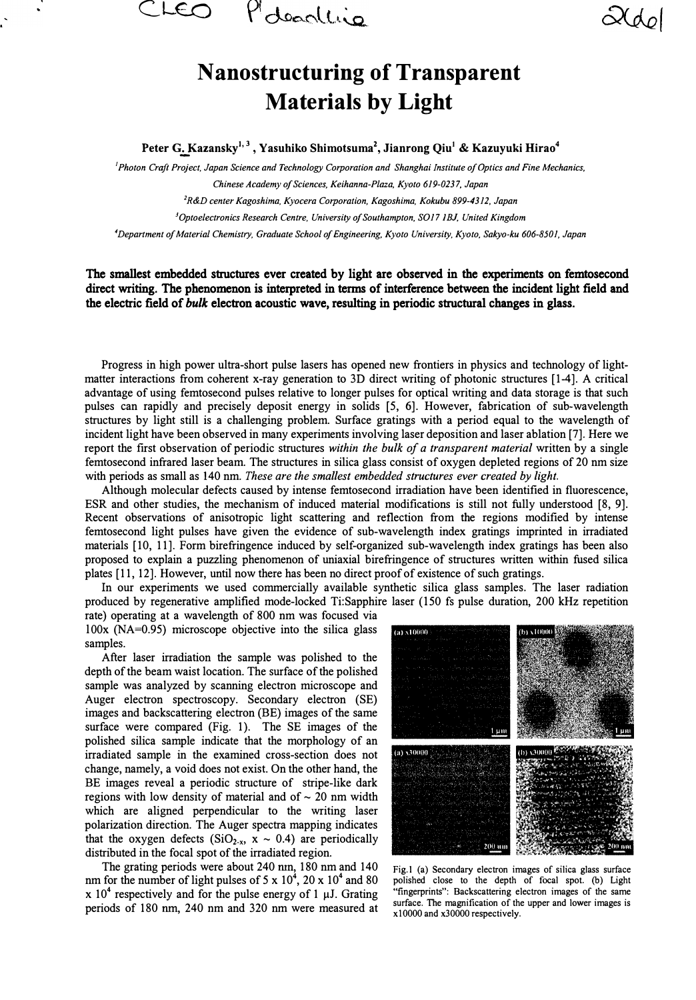

## **N anostructuring of Transparent Materials by Light**

**Peter G.:..Kazansky***<sup>1</sup> ' 3 ,* **Yasuhiko Shimotsuma<sup>2</sup> , Jianrong Qiu***<sup>1</sup>***& Kazuyuki Hirao***<sup>4</sup>*

*1 Photon Craft Project, Japan Science and Technology Corporation and Shanghai Institute of Optics and Fine Mechanics,* 

*Chinese Academy of Sciences, Keihanna-Plaza, Kyoto 619-0237, Japan* 

*2 R&D center Kagoshima, Kyocera Corporation, Kagoshima, Kokubu 899-4312, Japan*

*<sup>3</sup>0ptoelectronics Research Centre, University of Southampton, S017 JBJ. United Kingdom* 

*4Department of Material Chemistry, Graduate School of Engineering, Kyoto University, Kyoto, Sakyo-ku 606-8501, Japan*

## The smallest embedded structures ever created by light are observed in the experiments on femtosecond direct writing. The phenomenon is interpreted in terms of interference between the incident light field and the electric field of *bulk* electron acoustic wave, resulting in periodic structural changes in glass.

Progress in high power ultra-short pulse lasers has opened new frontiers in physics and technology of lightmatter interactions from coherent x-ray generation to 3D direct writing of photonic structures [1-4]. A critical advantage of using femtosecond pulses relative to longer pulses for optical writing and data storage is that such pulses can rapidly and precisely deposit energy in solids [5, 6]. However, fabrication of sub-wavelength structures by light still is a challenging problem. Surface gratings with a period equal to the wavelength of incident light have been observed in many experiments involving laser deposition and laser ablation [7]. Here we report the first observation of periodic structures *within the bulk of a transparent material* written by a single femtosecond infrared laser beam. The structures in silica glass consist of oxygen depleted regions of 20 nm size with periods as small as 140 nm. *These are the smallest embedded structures ever created by light.* 

Although molecular defects caused by intense femtosecond irradiation have been identified in fluorescence, ESR and other studies, the mechanism of induced material modifications is still not fully understood [8, 9]. Recent observations of anisotropic light scattering and reflection from the regions modified by intense femtosecond light pulses have given the evidence of sub-wavelength index gratings imprinted in irradiated materials [10, 11]. Form birefringence induced by self-organized sub-wavelength index gratings has been also proposed to explain a puzzling phenomenon of uniaxial birefringence of structures written within fused silica plates [11, 12]. However, until now there has been no direct proof of existence of such gratings.

In our experiments we used commercially available synthetic silica glass samples. The laser radiation produced by regenerative amplified mode-locked Ti:Sapphire laser (150 fs pulse duration, 200 kHz repetition

rate) operating at a wavelength of 800 nm was focused via  $100x$  (NA=0.95) microscope objective into the silica glass samples.

After laser irradiation the sample was polished to the depth of the beam waist location. The surface of the polished sample was analyzed by scanning electron microscope and Auger electron spectroscopy. Secondary electron (SE) images and backscattering electron (BE) images of the same surface were compared (Fig. 1). The SE images of the polished silica sample indicate that the morphology of an irradiated sample in the examined cross-section does not change, namely, a void does not exist. On the other hand, the BE images reveal a periodic structure of stripe-like dark regions with low density of material and of  $\sim$  20 nm width which are aligned perpendicular to the writing laser polarization direction. The Auger spectra mapping indicates that the oxygen defects  $(SiO_{2-x}, x \sim 0.4)$  are periodically distributed in the focal spot of the irradiated region.

The grating periods were about 240 nm, 180 nm and 140 nm for the number of light pulses of 5 x  $10^4$ , 20 x  $10^4$  and 80  $x 10<sup>4</sup>$  respectively and for the pulse energy of 1  $\mu$ J. Grating periods of 180 nm, 240 nm and 320 nm were measured at



Fig. I (a) Secondary electron images of silica glass surface polished close to the depth of focal spot. (b) Light "fingerprints": Backscattering electron images of the same surface. The magnification of the upper and lower images is x!OOOO and x30000 respectively.